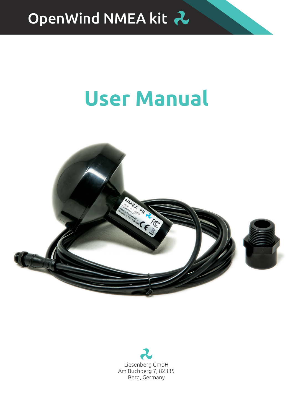

# **User Manual**



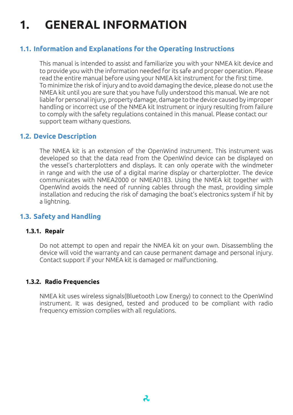# **1. GENERAL INFORMATION**

### **1.1. Information and Explanations for the Operating Instructions**

This manual is intended to assist and familiarize you with your NMEA kit device and to provide you with the information needed for its safe and proper operation. Please read the entire manual before using your NMEA kit instrument for the first time. To minimize the risk of injury and to avoid damaging the device, please do not use the NMEA kit until you are sure that you have fully understood this manual. We are not liable for personal injury, property damage, damage to the device caused by improper handling or incorrect use of the NMEA kit Instrument or injury resulting from failure to comply with the safety regulations contained in this manual. Please contact our support team withany questions.

### **1.2. Device Description**

The NMEA kit is an extension of the OpenWind instrument. This instrument was developed so that the data read from the OpenWind device can be displayed on the vessel's charterplotters and displays. It can only operate with the windmeter in range and with the use of a digital marine display or charterplotter. The device communicates with NMEA2000 or NMEA0183. Using the NMEA kit together with OpenWind avoids the need of running cables through the mast, providing simple installation and reducing the risk of damaging the boat's electronics system if hit by a lightning.

### **1.3. Safety and Handling**

#### **1.3.1. Repair**

Do not attempt to open and repair the NMEA kit on your own. Disassembling the device will void the warranty and can cause permanent damage and personal injury. Contact support if your NMEA kit is damaged or malfunctioning.

### **1.3.2. Radio Frequencies**

NMEA kit uses wireless signals(Bluetooth Low Energy) to connect to the OpenWind instrument. It was designed, tested and produced to be compliant with radio frequency emission complies with all regulations.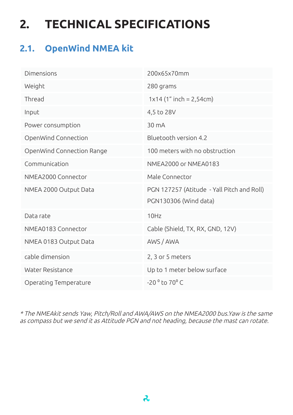# **2. TECHNICAL SPECIFICATIONS**

### **2.1. OpenWind NMEA kit**

| Dimensions                | 200x65x70mm                                                         |
|---------------------------|---------------------------------------------------------------------|
| Weight                    | 280 grams                                                           |
| Thread                    | $1x14$ (1" inch = 2,54cm)                                           |
| Input                     | 4,5 to 28V                                                          |
| Power consumption         | 30 <sub>m</sub> A                                                   |
| OpenWind Connection       | Bluetooth version 4.2                                               |
| OpenWind Connection Range | 100 meters with no obstruction                                      |
| Communication             | NMEA2000 or NMEA0183                                                |
| NMEA2000 Connector        | Male Connector                                                      |
| NMEA 2000 Output Data     | PGN 127257 (Atitude - Yall Pitch and Roll)<br>PGN130306 (Wind data) |
| Data rate                 | 10Hz                                                                |
| NMEA0183 Connector        | Cable (Shield, TX, RX, GND, 12V)                                    |
| NMEA 0183 Output Data     | AWS / AWA                                                           |
| cable dimension           | 2, 3 or 5 meters                                                    |
| Water Resistance          | Up to 1 meter below surface                                         |
| Operating Temperature     | $-20$ <sup>o</sup> to $70^{\circ}$ C                                |

\* The NMEAkit sends Yaw, Pitch/Roll and AWA/AWS on the NMEA2000 bus.Yaw is the same as compass but we send it as Attitude PGN and not heading, because the mast can rotate.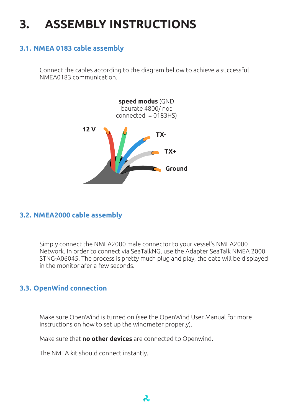# **3. ASSEMBLY INSTRUCTIONS**

### **3.1. NMEA 0183 cable assembly**

Connect the cables according to the diagram bellow to achieve a successful NMEA0183 communication.



### **3.2. NMEA2000 cable assembly**

Simply connect the NMEA2000 male connector to your vessel's NMEA2000 Network. In order to connect via SeaTalkNG, use the Adapter SeaTalk NMEA 2000 STNG-A06045. The process is pretty much plug and play, the data will be displayed in the monitor afer a few seconds.

### **3.3. OpenWind connection**

Make sure OpenWind is turned on (see the OpenWind User Manual for more instructions on how to set up the windmeter properly).

Make sure that **no other devices** are connected to Openwind.

The NMEA kit should connect instantly.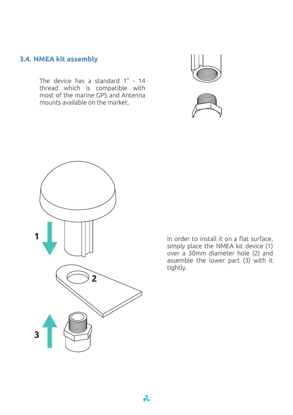### **3.4. NMEA kit assembly** C

The device has a standard 1" - 14 thread which is compatible with most of the marine GPS and Antenna D mounts available on the market.







In order to install it on a flat surface, simply place the NMEA kit device (1) over a 30mm diameter hole (2) and assemble the lower part (3) with it tightly.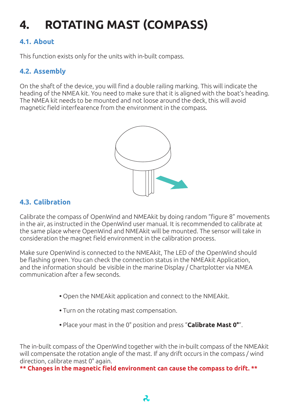# **4. ROTATING MAST (COMPASS)**

### **4.1. About**

This function exists only for the units with in-built compass.

### **4.2. Assembly**

On the shaft of the device, you will find a double railing marking. This will indicate the heading of the NMEA kit. You need to make sure that it is aligned with the boat's heading. The NMEA kit needs to be mounted and not loose around the deck, this will avoid magnetic field interfearence from the environment in the compass.



### **4.3. Calibration**

Calibrate the compass of OpenWind and NMEAkit by doing random "figure 8" movements D in the air, as instructed in the OpenWind user manual. It is recommended to calibrate at the same place where OpenWind and NMEAkit will be mounted. The sensor will take in consideration the magnet field environment in the calibration process.

Make sure OpenWind is connected to the NMEAkit, The LED of the OpenWind should be flashing green. You can check the connection status in the NMEAkit Application, and the information should be visible in the marine Display / Chartplotter via NMEA communication after a few seconds.

- **•** Open the NMEAkit application and connect to the NMEAkit.
- **•** Turn on the rotating mast compensation.
- **•** Place your mast in the 0° position and press "**Calibrate Mast 0°**".

The in-built compass of the OpenWind together with the in-built compass of the NMEAkit will compensate the rotation angle of the mast. If any drift occurs in the compass / wind direction, calibrate mast 0° again.

**\*\* Changes in the magnetic field environment can cause the compass to drift. \*\***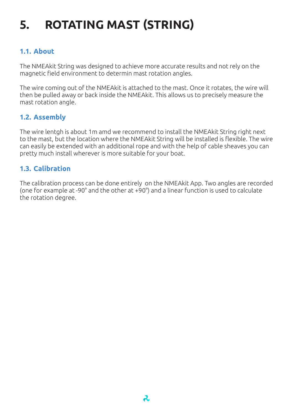# **5. ROTATING MAST (STRING)**

### **1.1. About**

The NMEAkit String was designed to achieve more accurate results and not rely on the magnetic field environment to determin mast rotation angles.

The wire coming out of the NMEAkit is attached to the mast. Once it rotates, the wire will then be pulled away or back inside the NMEAkit. This allows us to precisely measure the mast rotation angle.

### **1.2. Assembly**

The wire lentgh is about 1m amd we recommend to install the NMEAkit String right next to the mast, but the location where the NMEAkit String will be installed is flexible. The wire can easily be extended with an additional rope and with the help of cable sheaves you can pretty much install wherever is more suitable for your boat.

### **1.3. Calibration**

The calibration process can be done entirely on the NMEAkit App. Two angles are recorded (one for example at -90° and the other at +90°) and a linear function is used to calculate the rotation degree.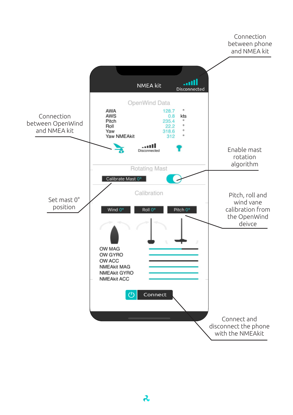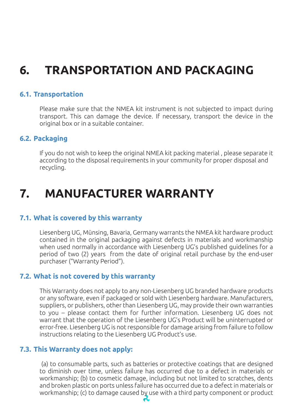### **6. TRANSPORTATION AND PACKAGING**

### **6.1. Transportation**

Please make sure that the NMEA kit instrument is not subjected to impact during transport. This can damage the device. If necessary, transport the device in the original box or in a suitable container.

### **6.2. Packaging**

If you do not wish to keep the original NMEA kit packing material , please separate it according to the disposal requirements in your community for proper disposal and recycling.

### **7. MANUFACTURER WARRANTY**

### **7.1. What is covered by this warranty**

Liesenberg UG, Münsing, Bavaria, Germany warrants the NMEA kit hardware product contained in the original packaging against defects in materials and workmanship when used normally in accordance with Liesenberg UG's published guidelines for a period of two (2) years from the date of original retail purchase by the end-user purchaser ("Warranty Period").

### **7.2. What is not covered by this warranty**

This Warranty does not apply to any non-Liesenberg UG branded hardware products or any software, even if packaged or sold with Liesenberg hardware. Manufacturers, suppliers, or publishers, other than Liesenberg UG, may provide their own warranties to you – please contact them for further information. Liesenberg UG does not warrant that the operation of the Liesenberg UG's Product will be uninterrupted or error-free. Liesenberg UG is not responsible for damage arising from failure to follow instructions relating to the Liesenberg UG Product's use.

### **7.3. This Warranty does not apply:**

 (a) to consumable parts, such as batteries or protective coatings that are designed to diminish over time, unless failure has occurred due to a defect in materials or workmanship; (b) to cosmetic damage, including but not limited to scratches, dents and broken plastic on ports unless failure has occurred due to a defect in materials or workmanship; (c) to damage caused by use with a third party component or product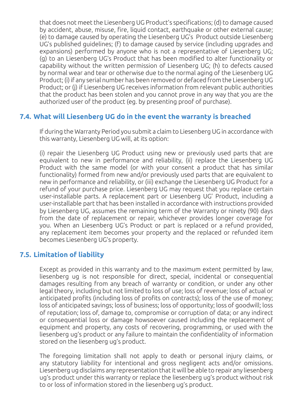that does not meet the Liesenberg UG Product's specifications; (d) to damage caused by accident, abuse, misuse, fire, liquid contact, earthquake or other external cause; (e) to damage caused by operating the Liesenberg UG's Product outside Liesenberg UG's published guidelines; (f) to damage caused by service (including upgrades and expansions) performed by anyone who is not a representative of Liesenberg UG; (g) to an Liesenberg UG's Product that has been modified to alter functionality or capability without the written permission of Liesenberg UG; (h) to defects caused by normal wear and tear or otherwise due to the normal aging of the Liesenberg UG Product; (i) if any serial number has been removed or defaced from the Liesenberg UG Product; or (j) if Liesenberg UG receives information from relevant public authorities that the product has been stolen and you cannot prove in any way that you are the authorized user of the product (eg. by presenting proof of purchase).

### **7.4. What will Liesenberg UG do in the event the warranty is breached**

If during the Warranty Period you submit a claim to Liesenberg UG in accordance with this warranty, Liesenberg UG will, at its option:

(i) repair the Liesenberg UG Product using new or previously used parts that are equivalent to new in performance and reliability, (ii) replace the Liesenberg UG Product with the same model (or with your consent a product that has similar functionality) formed from new and/or previously used parts that are equivalent to new in performance and reliability, or (iii) exchange the Liesenberg UG Product for a refund of your purchase price. Liesenberg UG may request that you replace certain user-installable parts. A replacement part or Liesenberg UG' Product, including a user-installable part that has been installed in accordance with instructions provided by Liesenberg UG, assumes the remaining term of the Warranty or ninety (90) days from the date of replacement or repair, whichever provides longer coverage for you. When an Liesenberg UG's Product or part is replaced or a refund provided, any replacement item becomes your property and the replaced or refunded item becomes Liesenberg UG's property.

### **7.5. Limitation of liability**

Except as provided in this warranty and to the maximum extent permitted by law, liesenberg ug is not responsible for direct, special, incidental or consequential damages resulting from any breach of warranty or condition, or under any other legal theory, including but not limited to loss of use; loss of revenue; loss of actual or anticipated profits (including loss of profits on contracts); loss of the use of money; loss of anticipated savings; loss of business; loss of opportunity; loss of goodwill; loss of reputation; loss of, damage to, compromise or corruption of data; or any indirect or consequential loss or damage howsoever caused including the replacement of equipment and property, any costs of recovering, programming, or used with the liesenberg ug's product or any failure to maintain the confidentiality of information stored on the liesenberg ug's product.

The foregoing limitation shall not apply to death or personal injury claims, or any statutory liability for intentional and gross negligent acts and/or omissions. Liesenberg ug disclaims any representation that it will be able to repair any liesenberg ug's product under this warranty or replace the liesenberg ug's product without risk to or loss of information stored in the liesenberg ug's product.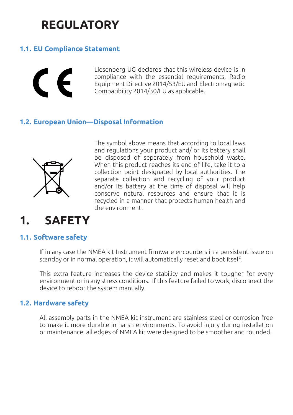## **REGULATORY**

### **1.1. EU Compliance Statement**



Liesenberg UG declares that this wireless device is in compliance with the essential requirements, Radio Equipment Directive 2014/53/EU and Electromagnetic Compatibility 2014/30/EU as applicable.

### **1.2. European Union—Disposal Information**



The symbol above means that according to local laws and regulations your product and/ or its battery shall be disposed of separately from household waste. When this product reaches its end of life, take it to a collection point designated by local authorities. The separate collection and recycling of your product and/or its battery at the time of disposal will help conserve natural resources and ensure that it is recycled in a manner that protects human health and the environment.

### **1. SAFETY**

### **1.1. Software safety**

If in any case the NMEA kit Instrument firmware encounters in a persistent issue on standby or in normal operation, it will automatically reset and boot itself.

This extra feature increases the device stability and makes it tougher for every environment or in any stress conditions. If this feature failed to work, disconnect the device to reboot the system manually.

### **1.2. Hardware safety**

All assembly parts in the NMEA kit instrument are stainless steel or corrosion free to make it more durable in harsh environments. To avoid injury during installation or maintenance, all edges of NMEA kit were designed to be smoother and rounded.